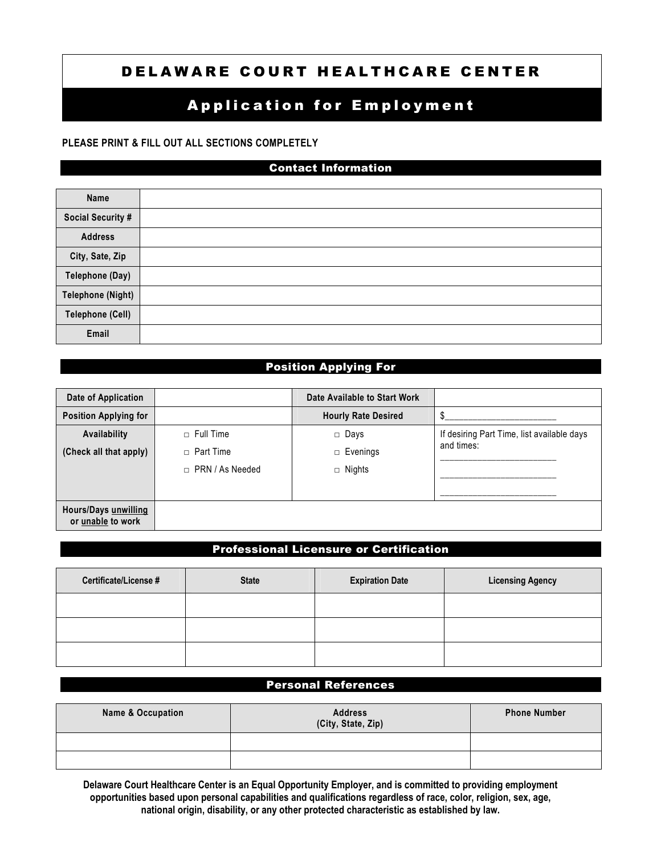# DELAWARE COURT HEALTHCARE CENTER

# **Application for Employment**

### **PLEASE PRINT & FILL OUT ALL SECTIONS COMPLETELY**

## Contact Information

| Name                     |  |
|--------------------------|--|
| <b>Social Security #</b> |  |
| <b>Address</b>           |  |
| City, Sate, Zip          |  |
| Telephone (Day)          |  |
| <b>Telephone (Night)</b> |  |
| <b>Telephone (Cell)</b>  |  |
| Email                    |  |

# Position Applying For

| Date of Application                       |                        | Date Available to Start Work |                                            |
|-------------------------------------------|------------------------|------------------------------|--------------------------------------------|
| <b>Position Applying for</b>              |                        | <b>Hourly Rate Desired</b>   |                                            |
| Availability                              | $\Box$ Full Time       | $\Box$ Days                  | If desiring Part Time, list available days |
| (Check all that apply)                    | $\Box$ Part Time       | $\Box$ Evenings              | and times:                                 |
|                                           | $\Box$ PRN / As Needed | $\Box$ Nights                |                                            |
|                                           |                        |                              |                                            |
| Hours/Days unwilling<br>or unable to work |                        |                              |                                            |

# Professional Licensure or Certification

| Certificate/License # | <b>State</b> | <b>Expiration Date</b> | <b>Licensing Agency</b> |
|-----------------------|--------------|------------------------|-------------------------|
|                       |              |                        |                         |
|                       |              |                        |                         |
|                       |              |                        |                         |

# Personal References

| Name & Occupation | <b>Address</b><br>(City, State, Zip) | <b>Phone Number</b> |
|-------------------|--------------------------------------|---------------------|
|                   |                                      |                     |
|                   |                                      |                     |

**Delaware Court Healthcare Center is an Equal Opportunity Employer, and is committed to providing employment opportunities based upon personal capabilities and qualifications regardless of race, color, religion, sex, age, national origin, disability, or any other protected characteristic as established by law.**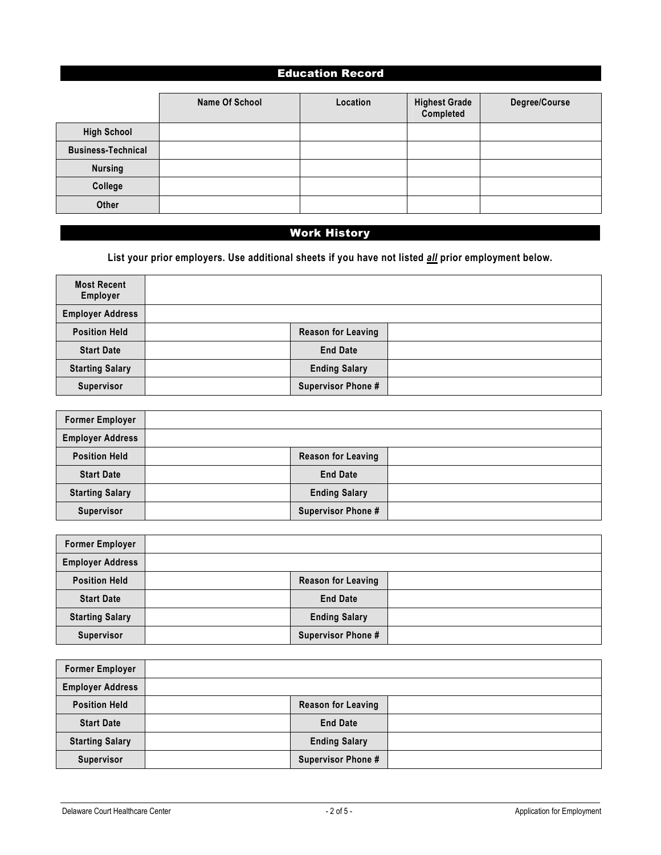# Education Record

|                           | Name Of School | Location | <b>Highest Grade</b><br>Completed | Degree/Course |
|---------------------------|----------------|----------|-----------------------------------|---------------|
| <b>High School</b>        |                |          |                                   |               |
| <b>Business-Technical</b> |                |          |                                   |               |
| <b>Nursing</b>            |                |          |                                   |               |
| College                   |                |          |                                   |               |
| Other                     |                |          |                                   |               |

# Work History

**List your prior employers. Use additional sheets if you have not listed** *all* **prior employment below.** 

| <b>Most Recent</b><br>Employer |                           |  |
|--------------------------------|---------------------------|--|
| <b>Employer Address</b>        |                           |  |
| <b>Position Held</b>           | <b>Reason for Leaving</b> |  |
| <b>Start Date</b>              | <b>End Date</b>           |  |
| <b>Starting Salary</b>         | <b>Ending Salary</b>      |  |
| Supervisor                     | <b>Supervisor Phone #</b> |  |

| <b>Former Employer</b>  |                           |  |
|-------------------------|---------------------------|--|
| <b>Employer Address</b> |                           |  |
| <b>Position Held</b>    | <b>Reason for Leaving</b> |  |
| <b>Start Date</b>       | <b>End Date</b>           |  |
| <b>Starting Salary</b>  | <b>Ending Salary</b>      |  |
| Supervisor              | <b>Supervisor Phone #</b> |  |

| <b>Former Employer</b>  |                           |  |
|-------------------------|---------------------------|--|
| <b>Employer Address</b> |                           |  |
| <b>Position Held</b>    | <b>Reason for Leaving</b> |  |
| <b>Start Date</b>       | <b>End Date</b>           |  |
| <b>Starting Salary</b>  | <b>Ending Salary</b>      |  |
| <b>Supervisor</b>       | <b>Supervisor Phone #</b> |  |

| <b>Former Employer</b>  |                           |  |
|-------------------------|---------------------------|--|
| <b>Employer Address</b> |                           |  |
| <b>Position Held</b>    | <b>Reason for Leaving</b> |  |
| <b>Start Date</b>       | <b>End Date</b>           |  |
| <b>Starting Salary</b>  | <b>Ending Salary</b>      |  |
| <b>Supervisor</b>       | <b>Supervisor Phone #</b> |  |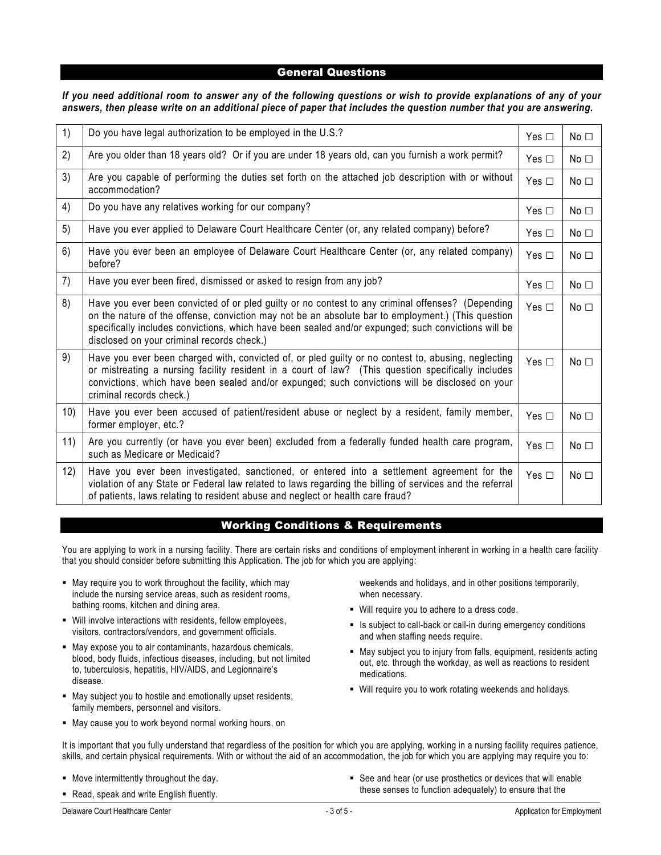#### General Questions

#### *If you need additional room to answer any of the following questions or wish to provide explanations of any of your answers, then please write on an additional piece of paper that includes the question number that you are answering.*

| 1)  | Do you have legal authorization to be employed in the U.S.?                                                                                                                                                                                                                                                                                                  | Yes $\Box$    | $No$ $\square$ |
|-----|--------------------------------------------------------------------------------------------------------------------------------------------------------------------------------------------------------------------------------------------------------------------------------------------------------------------------------------------------------------|---------------|----------------|
| 2)  | Are you older than 18 years old? Or if you are under 18 years old, can you furnish a work permit?                                                                                                                                                                                                                                                            | Yes $\Box$    | No $\square$   |
| 3)  | Are you capable of performing the duties set forth on the attached job description with or without<br>accommodation?                                                                                                                                                                                                                                         | Yes $\Box$    | No $\square$   |
| 4)  | Do you have any relatives working for our company?                                                                                                                                                                                                                                                                                                           | Yes $\Box$    | No $\square$   |
| 5)  | Have you ever applied to Delaware Court Healthcare Center (or, any related company) before?                                                                                                                                                                                                                                                                  | Yes $\Box$    | No $\square$   |
| 6)  | Have you ever been an employee of Delaware Court Healthcare Center (or, any related company)<br>before?                                                                                                                                                                                                                                                      | Yes $\Box$    | $No$ $\square$ |
| 7)  | Have you ever been fired, dismissed or asked to resign from any job?                                                                                                                                                                                                                                                                                         | Yes $\Box$    | $No$ $\square$ |
| 8)  | Have you ever been convicted of or pled guilty or no contest to any criminal offenses? (Depending<br>on the nature of the offense, conviction may not be an absolute bar to employment.) (This question<br>specifically includes convictions, which have been sealed and/or expunged; such convictions will be<br>disclosed on your criminal records check.) | Yes $\square$ | $No$ $\square$ |
| 9)  | Have you ever been charged with, convicted of, or pled guilty or no contest to, abusing, neglecting<br>or mistreating a nursing facility resident in a court of law? (This question specifically includes<br>convictions, which have been sealed and/or expunged; such convictions will be disclosed on your<br>criminal records check.)                     | Yes $\Box$    | No $\square$   |
| 10) | Have you ever been accused of patient/resident abuse or neglect by a resident, family member,<br>former employer, etc.?                                                                                                                                                                                                                                      | Yes $\Box$    | No $\square$   |
| 11) | Are you currently (or have you ever been) excluded from a federally funded health care program,<br>such as Medicare or Medicaid?                                                                                                                                                                                                                             | Yes $\Box$    | No $\square$   |
| 12) | Have you ever been investigated, sanctioned, or entered into a settlement agreement for the<br>violation of any State or Federal law related to laws regarding the billing of services and the referral<br>of patients, laws relating to resident abuse and neglect or health care fraud?                                                                    | Yes $\Box$    | No $\square$   |

#### Working Conditions & Requirements

You are applying to work in a nursing facility. There are certain risks and conditions of employment inherent in working in a health care facility that you should consider before submitting this Application. The job for which you are applying:

- May require you to work throughout the facility, which may include the nursing service areas, such as resident rooms, bathing rooms, kitchen and dining area.
- Will involve interactions with residents, fellow employees, visitors, contractors/vendors, and government officials.
- May expose you to air contaminants, hazardous chemicals, blood, body fluids, infectious diseases, including, but not limited to, tuberculosis, hepatitis, HIV/AIDS, and Legionnaire's disease.
- May subject you to hostile and emotionally upset residents, family members, personnel and visitors.
- May cause you to work beyond normal working hours, on

weekends and holidays, and in other positions temporarily, when necessary.

- Will require you to adhere to a dress code.
- Is subject to call-back or call-in during emergency conditions and when staffing needs require.
- May subject you to injury from falls, equipment, residents acting out, etc. through the workday, as well as reactions to resident medications.
- Will require you to work rotating weekends and holidays.

It is important that you fully understand that regardless of the position for which you are applying, working in a nursing facility requires patience, skills, and certain physical requirements. With or without the aid of an accommodation, the job for which you are applying may require you to:

- **Move intermittently throughout the day.**
- Read, speak and write English fluently.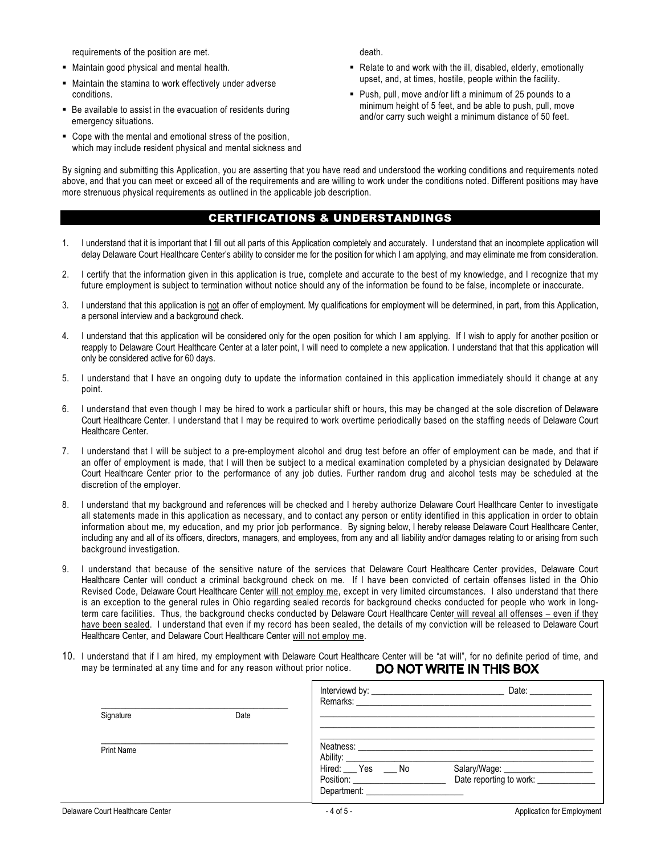requirements of the position are met.

- Maintain good physical and mental health.
- Maintain the stamina to work effectively under adverse conditions.
- Be available to assist in the evacuation of residents during emergency situations.
- Cope with the mental and emotional stress of the position, which may include resident physical and mental sickness and

death.

- Relate to and work with the ill, disabled, elderly, emotionally upset, and, at times, hostile, people within the facility.
- Push, pull, move and/or lift a minimum of 25 pounds to a minimum height of 5 feet, and be able to push, pull, move and/or carry such weight a minimum distance of 50 feet.

By signing and submitting this Application, you are asserting that you have read and understood the working conditions and requirements noted above, and that you can meet or exceed all of the requirements and are willing to work under the conditions noted. Different positions may have more strenuous physical requirements as outlined in the applicable job description.

### CERTIFICATIONS & UNDERSTANDINGS

- 1. I understand that it is important that I fill out all parts of this Application completely and accurately. I understand that an incomplete application will delay Delaware Court Healthcare Center's ability to consider me for the position for which I am applying, and may eliminate me from consideration.
- 2. I certify that the information given in this application is true, complete and accurate to the best of my knowledge, and I recognize that my future employment is subject to termination without notice should any of the information be found to be false, incomplete or inaccurate.
- 3. I understand that this application is not an offer of employment. My qualifications for employment will be determined, in part, from this Application, a personal interview and a background check.
- 4. I understand that this application will be considered only for the open position for which I am applying. If I wish to apply for another position or reapply to Delaware Court Healthcare Center at a later point, I will need to complete a new application. I understand that that this application will only be considered active for 60 days.
- 5. I understand that I have an ongoing duty to update the information contained in this application immediately should it change at any point.
- 6. I understand that even though I may be hired to work a particular shift or hours, this may be changed at the sole discretion of Delaware Court Healthcare Center. I understand that I may be required to work overtime periodically based on the staffing needs of Delaware Court Healthcare Center.
- 7. I understand that I will be subject to a pre-employment alcohol and drug test before an offer of employment can be made, and that if an offer of employment is made, that I will then be subject to a medical examination completed by a physician designated by Delaware Court Healthcare Center prior to the performance of any job duties. Further random drug and alcohol tests may be scheduled at the discretion of the employer.
- 8. I understand that my background and references will be checked and I hereby authorize Delaware Court Healthcare Center to investigate all statements made in this application as necessary, and to contact any person or entity identified in this application in order to obtain information about me, my education, and my prior job performance. By signing below, I hereby release Delaware Court Healthcare Center, including any and all of its officers, directors, managers, and employees, from any and all liability and/or damages relating to or arising from such background investigation.
- 9. I understand that because of the sensitive nature of the services that Delaware Court Healthcare Center provides, Delaware Court Healthcare Center will conduct a criminal background check on me. If I have been convicted of certain offenses listed in the Ohio Revised Code, Delaware Court Healthcare Center will not employ me, except in very limited circumstances. I also understand that there is an exception to the general rules in Ohio regarding sealed records for background checks conducted for people who work in longterm care facilities. Thus, the background checks conducted by Delaware Court Healthcare Center will reveal all offenses – even if they have been sealed. I understand that even if my record has been sealed, the details of my conviction will be released to Delaware Court Healthcare Center, and Delaware Court Healthcare Center will not employ me.
- 10. I understand that if I am hired, my employment with Delaware Court Healthcare Center will be "at will", for no definite period of time, and may be terminated at any time and for any reason without prior notice. DO NOT WRITE IN THIS BOX

|                                  |      |                   | Date: and the state of the state of the state of the state of the state of the state of the state of the state of the state of the state of the state of the state of the state of the state of the state of the state of the |
|----------------------------------|------|-------------------|-------------------------------------------------------------------------------------------------------------------------------------------------------------------------------------------------------------------------------|
| Signature                        | Date |                   |                                                                                                                                                                                                                               |
| <b>Print Name</b>                |      | Hired: Yes ___ No |                                                                                                                                                                                                                               |
| Delaware Court Healthcare Center |      | $-4$ of 5 -       | Application for Employment                                                                                                                                                                                                    |